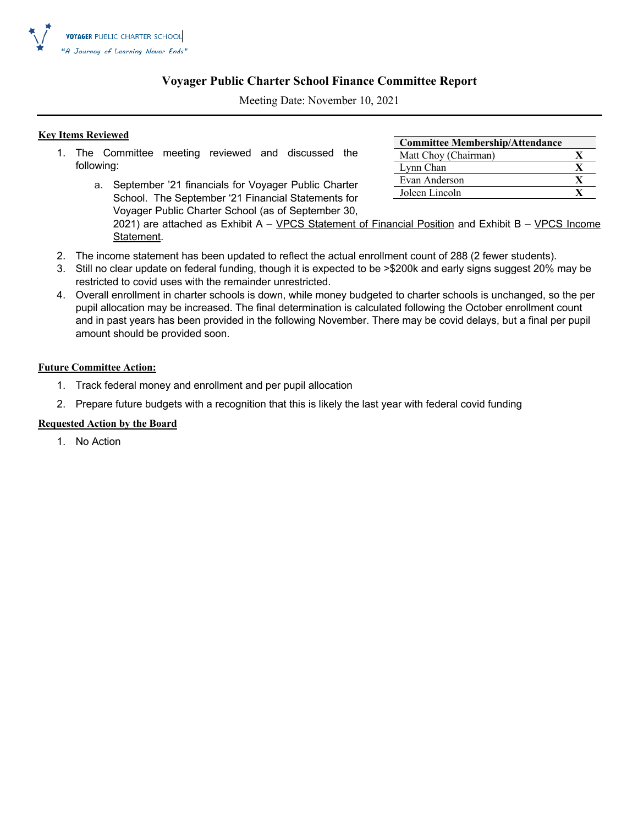

### **Voyager Public Charter School Finance Committee Report**

Meeting Date: November 10, 2021

### **Key Items Reviewed**

- 1. The Committee meeting reviewed and discussed the following:
	- a. September '21 financials for Voyager Public Charter School. The September '21 Financial Statements for Voyager Public Charter School (as of September 30,

| <b>Committee Membership/Attendance</b> |  |
|----------------------------------------|--|
| Matt Choy (Chairman)                   |  |
| Lynn Chan                              |  |
| Evan Anderson                          |  |
| Joleen Lincoln                         |  |

2021) are attached as Exhibit A - VPCS Statement of Financial Position and Exhibit B - VPCS Income Statement.

- 2. The income statement has been updated to reflect the actual enrollment count of 288 (2 fewer students).
- 3. Still no clear update on federal funding, though it is expected to be >\$200k and early signs suggest 20% may be restricted to covid uses with the remainder unrestricted.
- 4. Overall enrollment in charter schools is down, while money budgeted to charter schools is unchanged, so the per pupil allocation may be increased. The final determination is calculated following the October enrollment count and in past years has been provided in the following November. There may be covid delays, but a final per pupil amount should be provided soon.

#### **Future Committee Action:**

- 1. Track federal money and enrollment and per pupil allocation
- 2. Prepare future budgets with a recognition that this is likely the last year with federal covid funding

#### **Requested Action by the Board**

1. No Action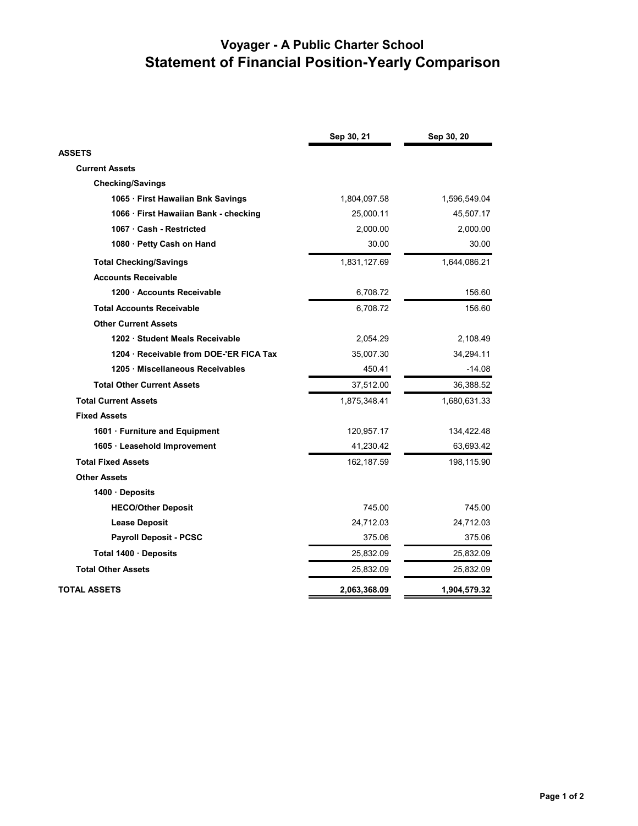## **Voyager - A Public Charter School Statement of Financial Position-Yearly Comparison**

|                                       | Sep 30, 21   | Sep 30, 20   |
|---------------------------------------|--------------|--------------|
| <b>ASSETS</b>                         |              |              |
| <b>Current Assets</b>                 |              |              |
| <b>Checking/Savings</b>               |              |              |
| 1065 · First Hawaiian Bnk Savings     | 1,804,097.58 | 1,596,549.04 |
| 1066 · First Hawaiian Bank - checking | 25,000.11    | 45,507.17    |
| 1067 · Cash - Restricted              | 2,000.00     | 2,000.00     |
| 1080 · Petty Cash on Hand             | 30.00        | 30.00        |
| <b>Total Checking/Savings</b>         | 1,831,127.69 | 1,644,086.21 |
| <b>Accounts Receivable</b>            |              |              |
| 1200 Accounts Receivable              | 6,708.72     | 156.60       |
| <b>Total Accounts Receivable</b>      | 6.708.72     | 156.60       |
| <b>Other Current Assets</b>           |              |              |
| 1202 Student Meals Receivable         | 2,054.29     | 2,108.49     |
| 1204 Receivable from DOE-'ER FICA Tax | 35,007.30    | 34,294.11    |
| 1205 · Miscellaneous Receivables      | 450.41       | $-14.08$     |
| <b>Total Other Current Assets</b>     | 37,512.00    | 36,388.52    |
| <b>Total Current Assets</b>           | 1,875,348.41 | 1,680,631.33 |
| <b>Fixed Assets</b>                   |              |              |
| 1601 · Furniture and Equipment        | 120,957.17   | 134,422.48   |
| 1605 · Leasehold Improvement          | 41,230.42    | 63,693.42    |
| <b>Total Fixed Assets</b>             | 162,187.59   | 198,115.90   |
| <b>Other Assets</b>                   |              |              |
| 1400 Deposits                         |              |              |
| <b>HECO/Other Deposit</b>             | 745.00       | 745.00       |
| <b>Lease Deposit</b>                  | 24,712.03    | 24,712.03    |
| <b>Payroll Deposit - PCSC</b>         | 375.06       | 375.06       |
| Total 1400 Deposits                   | 25,832.09    | 25,832.09    |
| <b>Total Other Assets</b>             | 25,832.09    | 25,832.09    |
| TOTAL ASSETS                          | 2,063,368.09 | 1,904,579.32 |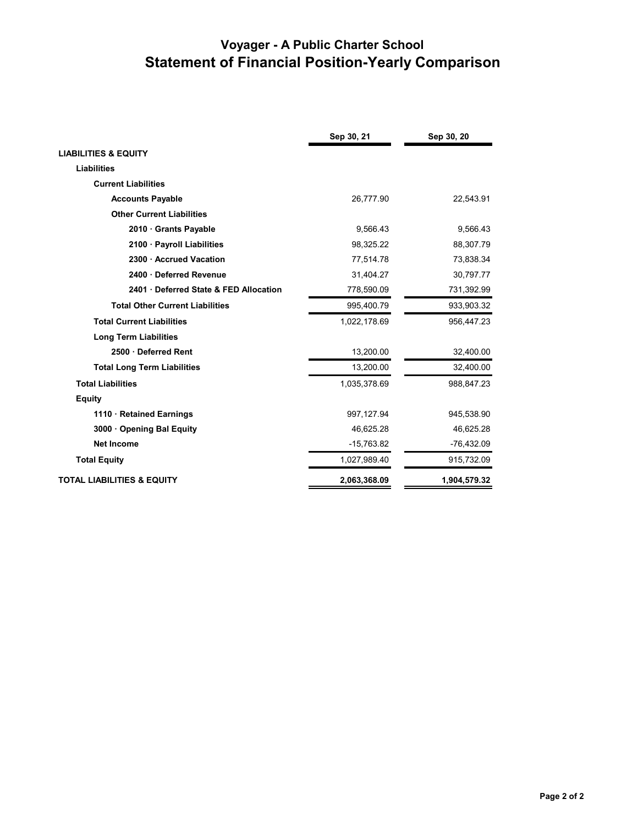## **Voyager - A Public Charter School Statement of Financial Position-Yearly Comparison**

|                                        | Sep 30, 21   | Sep 30, 20   |
|----------------------------------------|--------------|--------------|
| <b>LIABILITIES &amp; EQUITY</b>        |              |              |
| <b>Liabilities</b>                     |              |              |
| <b>Current Liabilities</b>             |              |              |
| <b>Accounts Payable</b>                | 26,777.90    | 22,543.91    |
| <b>Other Current Liabilities</b>       |              |              |
| 2010 · Grants Payable                  | 9,566.43     | 9,566.43     |
| 2100 · Payroll Liabilities             | 98.325.22    | 88,307.79    |
| 2300 Accrued Vacation                  | 77,514.78    | 73,838.34    |
| 2400 Deferred Revenue                  | 31.404.27    | 30,797.77    |
| 2401 Deferred State & FED Allocation   | 778,590.09   | 731,392.99   |
| <b>Total Other Current Liabilities</b> | 995,400.79   | 933,903.32   |
| <b>Total Current Liabilities</b>       | 1,022,178.69 | 956,447.23   |
| <b>Long Term Liabilities</b>           |              |              |
| 2500 Deferred Rent                     | 13,200.00    | 32,400.00    |
| <b>Total Long Term Liabilities</b>     | 13,200.00    | 32,400.00    |
| <b>Total Liabilities</b>               | 1,035,378.69 | 988,847.23   |
| <b>Equity</b>                          |              |              |
| 1110 · Retained Earnings               | 997,127.94   | 945,538.90   |
| 3000 Opening Bal Equity                | 46,625.28    | 46,625.28    |
| <b>Net Income</b>                      | $-15,763.82$ | $-76,432.09$ |
| <b>Total Equity</b>                    | 1,027,989.40 | 915,732.09   |
| <b>TOTAL LIABILITIES &amp; EQUITY</b>  | 2,063,368.09 | 1,904,579.32 |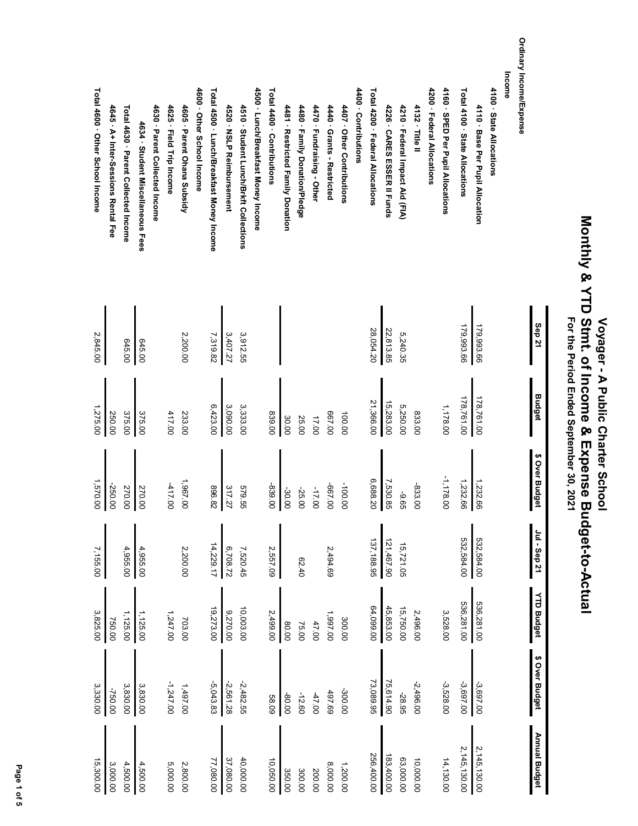# Voyager - A Public Charter School<br>Monthly & YTD Stmt. of Income & Expense Budget-to-Actual<br>For the Period Ended September 30, 2021  **Monthly & YTD Stmt. of Income & Expense Budget-to-Actual For the Period Ended September 30, 2021 Voyager - A Public Charter School**

|                                           | Sep <sub>21</sub> | <b>Budget</b> | \$ Over Budget              | Jul - Sep 21 | <b>YTD Budget</b> | \$ Over Budget | <b>Annual Budget</b> |
|-------------------------------------------|-------------------|---------------|-----------------------------|--------------|-------------------|----------------|----------------------|
| Ordinary Income/Expense                   |                   |               |                             |              |                   |                |                      |
| Income                                    |                   |               |                             |              |                   |                |                      |
| 4100 - State Allocations                  |                   |               |                             |              |                   |                |                      |
| 4110 · Base Per Pupil Allocation          | 179,993.66        | 178,761.00    |                             | 532,584.00   | 536,281.00        | -3,697.00      | 2,145,130.00         |
| Total 4100 · State Allocations            | 179,993.66        | 178,761.00    | $\frac{1,232.66}{1,232.66}$ | 532,584.00   | 536,281.00        | -3,697.00      | 2,145,130.00         |
| 4160 · SPED Per Pupil Allocations         |                   | 1,178.00      | $-1,178.6$<br>8             |              | 3,528.00          | $-3,528.00$    | 14,130.00            |
| 4200 · Federal Allocations                |                   |               |                             |              |                   |                |                      |
| 4132 · Title II                           |                   | 833.00        | -833.00                     |              | 2,496.00          | $-2,496.00$    | 10,000.00            |
| 4210 · Federal Impact Aid (FIA)           | 5,240.35          | 5,250.00      | -9.65                       | 15,721.05    | 15,750.00         | -28.95         | 63,000.00            |
| 4226 · CARES ESSER II Funds               | 22,813.85         | 15,283.00     |                             | 121,467.90   | 45,853.00         | 75,614.90      | 183,400.00           |
| Total 4200 · Federal Allocations          | 28,054.20         | 21,366.00     | 7,530.85<br>6,688.20        | 137, 188.95  | 64,099.00         | 73,089.95      | 256,400.00           |
| 4400 - Contributions                      |                   |               |                             |              |                   |                |                      |
| 4407 · Other Contributions                |                   | 100.00        | -100.00                     |              | 300.00            | -300.00        | 1,200.00             |
| 4440 · Grants - Restricted                |                   | 00'499        | -667.00                     | 2,494.69     | 1,997.00          | 497.69         | 8,000.00             |
| 4470 · Fundraising - Other                |                   | 17.00         | -17.00                      |              | 47.00             | $-47.00$       | 200.00               |
| 4480 · Family Donation/Pledge             |                   | 25.00         | -25.<br>S                   | 07.40        | 75.00             | $-12.60$       | 300.00               |
| 4481 · Restricted Family Donation         |                   | 30.00         |                             |              | 80.00             | -80.00         | 350.00               |
| Total 4400 · Contributions                |                   | 839.00        | -30.00                      | 2,557.09     | 2,499.00          | <b>58.09</b>   | 10,050.00            |
| 4500 · Lunch/Breakfast Money Income       |                   |               |                             |              |                   |                |                      |
| 4510 · Student Lunch/Brkft Collections    | 3,912.55          | 3,333.00      | 1629<br>9g                  | 7,520.45     | 10,003.00         | -2,482.55      | 40,000.00            |
| 4520 · NSLP Reimbursement                 | 3,407.27          | 3,090.00      | 317.27<br>896.82            | 6,708.72     | 9,270.00          | 2,561.28       | 37,080.00            |
| Total 4500 · Lunch/Breakfast Money Income | 7,319.82          | 6,423.00      |                             | 14,229.17    | 19,273.00         | $-5,043.83$    | 77,080.00            |
| 4600 · Other School Income                |                   |               |                             |              |                   |                |                      |
| 4605 · Parent Ohana Subsidy               | 2,200.00          | 233.00        | 1,967.00                    | 2,200.00     | 703.00            | 1,497.00       | 2,800.00             |
| 4625 · Field Trip Income                  |                   | 417.00        | $-417.00$                   |              | 1,247.00          | $-1,247.00$    | 5,000.00             |
| 4630 · Parent Collected Income            |                   |               |                             |              |                   |                |                      |
| 4634 · Student Miscellaneous Fees         | 645.00            | 375.00        |                             | 4,955.00     | 1,125.00          | 3,830.00       | 4,500.00             |
| Total 4630 · Parent Collected Income      | 645.00            | 375.00        | 270.00                      | 4,955.00     | 1,125.00          | 3,830.00       | 4,500.00             |
| 4645 · A+ Inter-Sessions Rental Fee       |                   | 250.00        | -250.00                     |              | 750.00            | -750.00        | 3,000.00             |
| Total 4600 · Other School Income          | 2,845.00          | 1,275.00      |                             | 7,155.00     | 3,825.00          | 3,330.00       | 15,300.00            |

Page 1 of 5  **Page 1 of 5**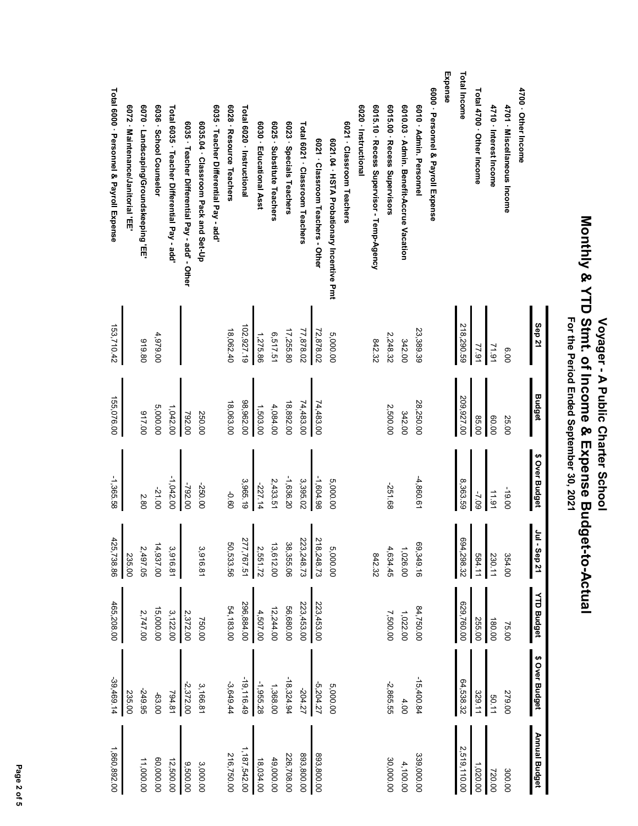| Tor the Period Maded September 30, 2021 | Monthly & YTD Strat. of Income & Expense Budget-to-Actual | Voyager - A Public Charter School |
|-----------------------------------------|-----------------------------------------------------------|-----------------------------------|
|                                         |                                                           |                                   |

|                                                | Sep 21     | <b>Budget</b> | \$ Over Budget | $\epsilon$<br>$1 -$ Sep 21 | <b>YTD Budget</b> | \$ Over Budget | <b>Annual Budget</b> |
|------------------------------------------------|------------|---------------|----------------|----------------------------|-------------------|----------------|----------------------|
| 4700 · Other Income                            |            |               |                |                            |                   |                |                      |
| 4701 · Miscellaneous Income                    | 00.9       | 25.00         | -19.00         | 354.00                     | 75.00             | 279.00         | 300.00               |
| 4710 · Interest Income                         | 71.91      | 00.09         | 11.91          | 230.11                     | 180.00            | 50.11          | 720.00               |
| Total 4700 · Other Income                      | 77.91      | 85.00         | -7.09          | 584.11                     | 255.00            | 329.11         | 1,020.00             |
| <b>Total Income</b>                            | 218,290.59 | 209,927.00    | 8,363.59       | 694,298.32                 | 629,760.00        | 64,538.32      | 2,519,110.00         |
| Expense                                        |            |               |                |                            |                   |                |                      |
| 6000 · Personnel & Payroll Expense             |            |               |                |                            |                   |                |                      |
| 6010 - Admin. Personnel                        | 23,389.39  | 28,250.00     | $-4,860.61$    | 69,349.16                  | 84,750.00         | $-15,400.84$   | 339,000.00           |
| 6010.03 · Admin. Benefit-Accrue Vacation       | 342.00     | 342.00        |                | 1,026.00                   | 1,022.00          | 4.00           | 4,100.00             |
| 6015.00 · Recess Supervisors                   | 2,248.32   | 2,500.00      | -251.68        | 4,634.45                   | 7,500.00          | -2,865.55      | 30,000.00            |
| 6015.10 · Recess Supervisor - Temp-Agency      | 842.32     |               |                | 842.32                     |                   |                |                      |
| 6020 - Instructional                           |            |               |                |                            |                   |                |                      |
| 6021 · Classroom Teachers                      |            |               |                |                            |                   |                |                      |
| 6021.04 · HSTA Probationary Incentive Pmt      | 5,000.00   |               | 5,000.00       | 5,000.00                   |                   | 5,000.00       |                      |
| 6021 · Classroom Teachers - Other              | 72,878.02  | 74,483.00     | $-1,604.98$    | 218,248.73                 | 223,453.00        | -5,204.27      | 893,800.00           |
| Total 6021 · Classroom Teachers                | 77,878.02  | 74,483.00     | 3,395.02       | 223,248.73                 | 223,453.00        | -204.27        | 00'008'868           |
| 6023 · Specials Teachers                       | 17,255.80  | 18,892.00     | $-1,636.20$    | 38,355.06                  | 56,680.00         | $-18, 324.94$  | 226,708.00           |
| 6025 · Substitute Teachers                     | 6,517.51   | 4,084.00      | 2,433.51       | 13,612.00                  | 12,244.00         | 1,368.00       | 49,000.00            |
| 6030 · Educational Asst                        | 1,275.86   | 1,503.00      | -227.14        | 2,551.72                   | 4,507.00          | -1,955.28      | 18,034.00            |
| Total 6020 · Instructional                     | 102,927.19 | 98,962.00     | 3,965.19       | 277,767.51                 | 296,884.00        | $-19, 116.49$  | 1,187,542.00         |
| 6028 · Resource Teachers                       | 18,062.40  | 18,063.00     | 09'0-          | 50,533.56                  | 54,183.00         | $-3,649.44$    | 216,750.00           |
| 6035 · Teacher Differential Pay - add          |            |               |                |                            |                   |                |                      |
| 6035.04 · Classroom Pack and Set-Up            |            | 250.00        | -250.00        | 3,916.81                   | 750.00            | 3,166.81       | 3,000.00             |
| 6035 · Teacher Differential Pay - add' - Other |            | 792.00        | -792.00        |                            | 2,372.00          | -2,372.00      | 0.500.00             |
| Total 6035 · Teacher Differential Pay - add'   |            | 1,042.00      | $-1,042.00$    | 3,916.81                   | 3,122.00          | 794.81         | 12,500.00            |
| 6036 · School Counselor                        | 4,979.00   | 5,000.00      | -21.00         | 14,937.00                  | 15,000.00         | -63.00         | 00.000,00            |
| 6070 · Landscaping/Groundskeeping 'EE'         | 919.80     | 017.00        | 2.80           | 2,497.05                   | 2,747.00          | -249.95        | 11,000.00            |
| 6072 · Maintenance/Janitorial 'EE              |            |               |                | 235.00                     |                   | 235.00         |                      |
| Total 6000 · Personnel & Payroll Expense       | 153,710.42 | 155,076.00    | -1,365.58      | 425,738.86                 | 465,208.00        | $-39,469.14$   | 1,860,892.00         |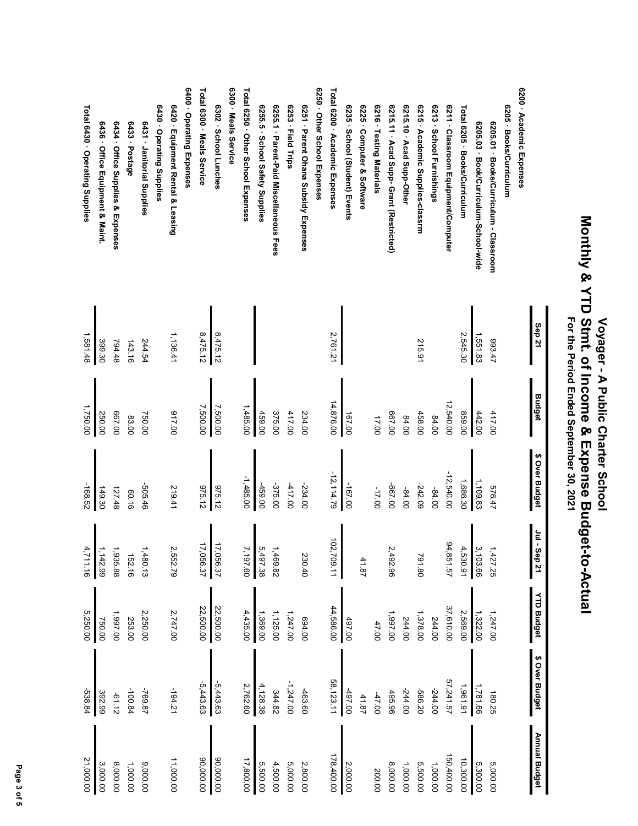# Voyager - A Public Charter School<br>Monthly & YTD Stmt. of Income & Expense Budget-to-Actual<br>For the Period Ended September 30, 2021  **Monthly & YTD Stmt. of Income & Expense Budget-to-Actual For the Period Ended September 30, 2021 Voyager - A Public Charter School**

|                                         | Sep 21   | <b>Budget</b> | \$ Over Budget | Jul -<br>Step 21 | <b>YTD Budget</b> | \$ Over Budget | <b>Annual Budget</b> |
|-----------------------------------------|----------|---------------|----------------|------------------|-------------------|----------------|----------------------|
| 6200 - Academic Expenses                |          |               |                |                  |                   |                |                      |
| 6205 · Books/Curriculum                 |          |               |                |                  |                   |                |                      |
| 6205.01 · Books/Curriculum - Classroom  | 193.47   | 417.00        | 576.47         | 1,427.25         | 1,247.00          | 180.25         | 5,000.00             |
| 6205.03 · Book/Curriculum-School-wide   | 1,551.83 | 442.00        | 1,109.83       | 3,103.66         | 1,322.00          | 1,781.66       | 5,300.00             |
| Total 6205 · Books/Curriculum           | 2,545.30 | 00'628        | 1,686.30       | 4,530.91         | 2,569.00          | 1,961.91       | 10,300.00            |
| 6211 · Classroom Equipment/Computer     |          | 12,540.00     | $-12,540.00$   | 94,851.57        | 37,610.00         | 57,241.57      | 150,400.00           |
| 6213 · School Furnishings               |          | 84.00         | $-84.00$       |                  | 244.00            | -244.00        | 1,000.00             |
| 6215 · Academic Supplies-classrm        | 215.91   | 458.00        | -242.09        | 791.80           | 1,378.00          | -586.20        | 5,500.00             |
| 6215.10 Acad Supp-Other                 |          | 84.00         | $-84.00$       |                  | 244.00            | -244.00        | 1,000.00             |
| 6215.11 - Acad Supp- Grant (Restricted) |          | 00'199        | 00'199-        | 2,492.96         | 1,997.00          | 495.96         | 8,000.00             |
| 6216 · Testing Materials                |          | 17.00         | -17.00         |                  | 47.00             | $-47.00$       | 200.00               |
| 6225 Computer & Software                |          |               |                | 41.87            |                   | 41.87          |                      |
| 6235 · School (Student) Events          |          | 167.00        | $-167.00$      |                  | 497.00            | 00'264         | 2,000.00             |
| Total 6200 · Academic Expenses          | 2,761.21 | 14,876.00     | $-12, 114.79$  | 102,709.11       | 44,586.00         | 58,123.11      | 178,400.00           |
| 6250 · Other School Expenses            |          |               |                |                  |                   |                |                      |
| 6251 - Parent Ohana Subsidy Expenses    |          | 234.00        | $-234.00$      | 230.40           | 00'769            | 463.60         | 2,800.00             |
| 6253 · Field Trips                      |          | 417.00        | $-417.00$      |                  | 1,247.00          | -1,247.00      | 5,000.00             |
| 625.1 · Parent-Paid Miscellaneous Fees  |          | 375.00        | -375.00        | 1,469.82         | 1,125.00          | 344.82         | 4,500.00             |
| 6255.5 · School Safety Supplies         |          | 459.00        | -459.00        | 5,497.38         | 1,369.00          | 4,128.38       | 5,500.00             |
| Total 6250 · Other School Expenses      |          | 1,485.00      | $-1,485.00$    | 7,197.60         | 4,435.00          | 2,762.60       | 17,800.00            |
| 6300 Meals Service                      |          |               |                |                  |                   |                |                      |
| 6302 · School Lunches                   | 8,475.12 | 7,500.00      | 975.12         | 17,056.37        | 22,500.00         | $-5,443.63$    | 00.000.00            |
| Total 6300 · Meals Service              | 8,475.12 | 7,500.00      | 975.12         | 17,056.37        | 22,500.00         | $-5,443.63$    | 00.000,00            |
| 6400 · Operating Expenses               |          |               |                |                  |                   |                |                      |
| 6420 · Equipment Rental & Leasing       | 1,136.41 | 00'116        | 219.41         | 2,552.79         | 2,747.00          | $-194.21$      | 11,000.00            |
| 6430 - Operating Supplies               |          |               |                |                  |                   |                |                      |
| 6431 · Janitorial Supplies              | 244.54   | 750.00        | -505.46        | 480.13           | 2,250.00          | -769.87        | 0.000.00             |
| 6433 · Postage                          | 143.16   | 83.00         | 60.16          | 152.16           | 253.00            | -100.84        | 1,000.00             |
| 6434 · Office Supplies & Expenses       | 794.48   | 00'199        | 127.48         | 1,935.88         | 1,997.00          | $-61.12$       | 8,000.00             |
| 6436 · Office Equipment & Maint.        | 399.30   | 250.00        | 149.30         | 1,142.99         | 750.00            | 392.99         | 3,000.00             |
| Total 6430 · Operating Supplies         | 1,581.48 | 1,750.00      | -168.52        | 4,711.16         | 5,250.00          | -538.84        | 21,000.00            |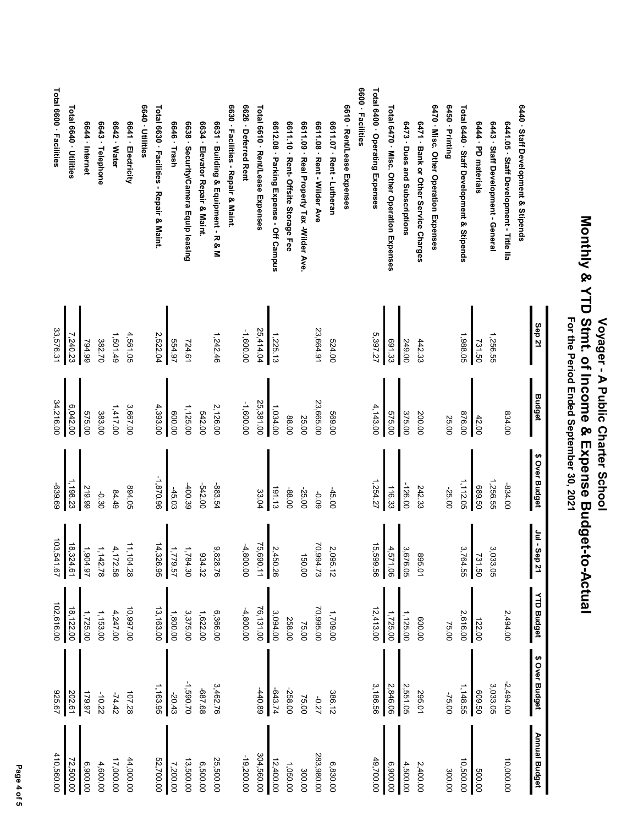|                                             | Sep 21    | <b>Budget</b> | \$ Over Budget | Jul - Sep 21                            | <b>YTD Budget</b> | \$ Over Budget | Annual Budget |
|---------------------------------------------|-----------|---------------|----------------|-----------------------------------------|-------------------|----------------|---------------|
| 6440 · Staff Development & Stipends         |           |               |                |                                         |                   |                |               |
| 6441.05 · Staff Development - Title IIa     |           | 034.00        | -834.00        |                                         | 2,494.00          | $-2,494.00$    | 10,000.00     |
| 6443 · Staff Development - General          | 1,256.55  |               | 1,256.55       | مي<br>,033.05                           |                   | 3,033.05       |               |
| 6444 · PD materials                         | 731.50    | 42.00         | 09.50          | 731.50                                  | 122.00            | 03.50          | 500.00        |
| Total 6440 · Staff Development & Stipends   | 1,988.05  | 876.00        | 1,112.05       | مي<br>,764.55                           | 2,616.00          | 1,148.55       | 10,500.00     |
| 6450 - Printing                             |           | 25.00         | $-25.00$       |                                         | 75.00             | -75.00         | 300.00        |
| 6470 · Misc. Other Operation Expenses       |           |               |                |                                         |                   |                |               |
| 6471 · Bank or Other Service Charges        | 442.33    | 200.00        | 242.33         | 10.568                                  | 00'009            | 295.01         | 2,400.00      |
| 6473 · Dues and Subscriptions               | 249.00    | 375.00        | -126.00        | يب<br>676.05                            | 1,125.00          | 2,551.05       | 4,500.00      |
| Total 6470 · Misc. Other Operation Expenses | 691.33    | 575.00        | 116.33         | 4,571.06                                | 1,725.00          | 2,846.06       | 6,900.00      |
| Total 6400 · Operating Expenses             | 5,397.27  | 4,143.00      | 1,254.27       | ίő,<br>99.59                            | 12,413.00         | 3,186.56       | 49,700.00     |
| 6600 · Facilities                           |           |               |                |                                         |                   |                |               |
| 6610 · Rent/Lease Expenses                  |           |               |                |                                         |                   |                |               |
| 6611.07 · Rent - Lutheran                   | 00'759    | 00'699        | $-45.00$       | N,<br>,095.12                           | 1,709.00          | 386.12         | 6,830.00      |
| 6611.08 · Rent - Wilder Ave                 | 23,664.91 | 23,665.00     | -0.09          | ζÓ,<br>894.73                           | 70,995.00         | -0.27          | 283,980.00    |
| 6611.09 · Real Property Tax -Wilder Ave     |           | 25.00         | $-25.00$       | 150.00                                  | 75.00             | 75.00          | 300.00        |
| 6611.10 · Rent- Offsite Storage Fee         |           | 88.00         | -88.00         |                                         | 258.00            | -258.00        | 1,050.00      |
| 6612.08 · Parking Expense - Off Campus      | 1,225.13  | 1,034.00      | 191.13         | Σ,<br>450.26                            | 3,094.00          | -643.74        | 12,400.00     |
| Total 6610 · Rent/Lease Expenses            | 25,414.04 | 25,381.00     | 33.04          | 75<br>690.11                            | 76,131.00         | 440.89         | 304,560.00    |
| 6626 Deferred Rent                          | -1,600.00 | -1,600.00     |                | $-4,800.00$                             | $-4,800.00$       |                | $-19,200.00$  |
| 6630 · Facilities - Repair & Maint.         |           |               |                |                                         |                   |                |               |
| 6631 · Building & Equipment - R & M         | 1,242.46  | 2,126.00      | -883.54        | ٯ<br>828.76                             | 6,366.00          | 3,462.76       | 25,500.00     |
| 6634 · Elevator Repair & Maint              |           | 542.00        | -542.00        | 834.32                                  | 1,622.00          | 88.788         | 6,500.00      |
| 6638 · Security/Camera Equip leasing        | 724.61    | 1,125.00      | -400.39        | 1,784.30                                | 3,375.00          | -1,590.70      | 13,500.00     |
| 6646 · Trash                                | 554.97    | 00.008        | $-45.03$       | 1,779.57                                | 1,800.00          | $-20.43$       | 7,200.00      |
| Total 6630 · Facilities - Repair & Maint.   | 2,522.04  | 4,393.00      | -1,870.96      | 14,326.95                               | 13,163.00         | 1,163.95       | 52,700.00     |
| 6640 · Utilities                            |           |               |                |                                         |                   |                |               |
| 6641 - Electricity                          | 4,561.05  | 3,667.00      | 894.05         | 11,104.28                               | 10,997.00         | 107.28         | 44,000.00     |
| 6642 · Water                                | 1,501.49  | 1,417.00      | 84.49          | 4.<br>,172.58                           | 4,247.00          | $-74.42$       | 17,000.00     |
| 6643 · Telephone                            | 382.70    | 383.00        | -0.30          | $\overline{\phantom{0}}$<br>,142.78     | 1,153.00          | $-10.22$       | 4,600.00      |
| 6644 · Internet                             | 794.99    | 575.00        | 219.99         | $\div$<br>16'706                        | 1,725.00          | 179.97         | 6,900.00      |
| Total 6640 - Utilities                      | 7,240.23  | 6,042.00      | 1,198.23       | $\overleftrightarrow{\infty}$<br>324.61 | 18,122.00         | 202.61         | 72,500.00     |
| Total 6600 - Facilities                     | 33,576.31 | 34,216.00     | -639.69        | 103,541.67                              | 102,616.00        | 925.67         | 410,560.00    |

 **Voyager - A Public Charter School Monthly & YTD Stmt. of Income & Expense Budget-to-Actual For the Period Ended September 30, 2021**

Voyager - A Public Charter School<br>Monthly & YTD Stmt. of Income & Expense Budget-to-Actual<br>For the Period Ended September 30, 2021

## Page 4 of 5  **Page 4 of 5**